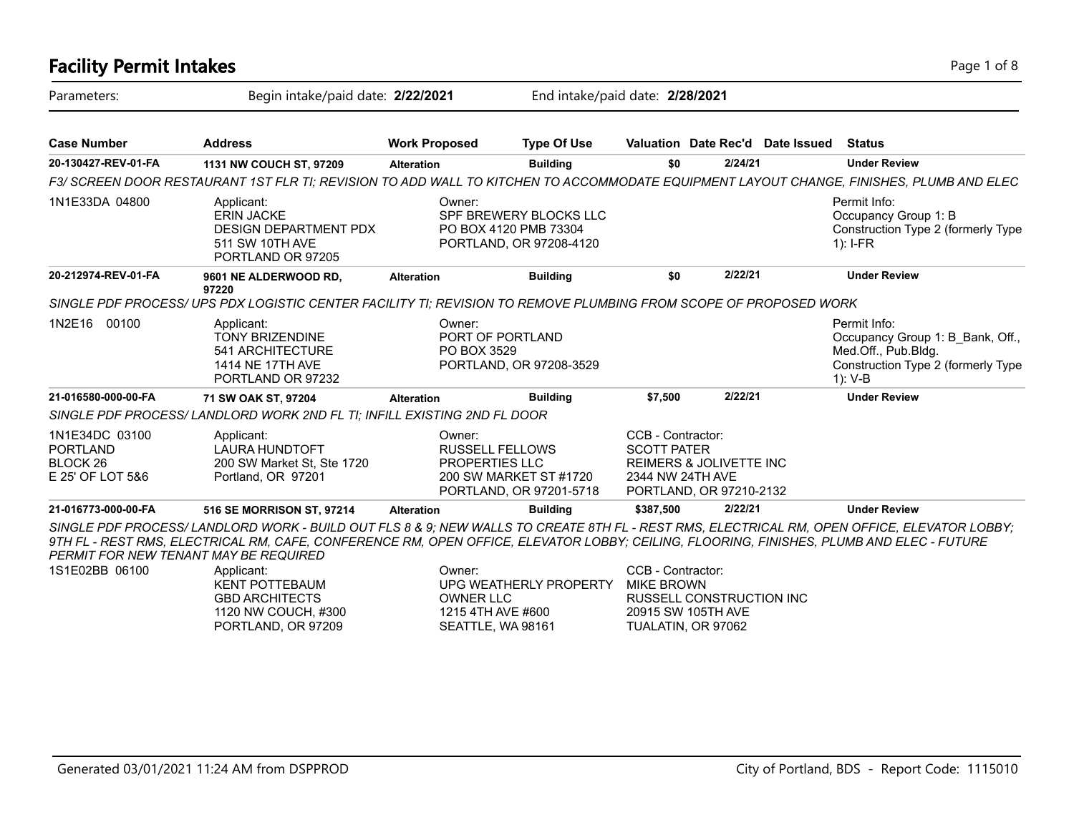| <b>Facility Permit Intakes</b>                                               |                                                                                                                                                                                                                                                                                                                                 |                                 |                                                                             |                                                             |                                                                      |                                  | Page 1 of 8                                                                                                              |  |
|------------------------------------------------------------------------------|---------------------------------------------------------------------------------------------------------------------------------------------------------------------------------------------------------------------------------------------------------------------------------------------------------------------------------|---------------------------------|-----------------------------------------------------------------------------|-------------------------------------------------------------|----------------------------------------------------------------------|----------------------------------|--------------------------------------------------------------------------------------------------------------------------|--|
| Parameters:                                                                  | Begin intake/paid date: 2/22/2021                                                                                                                                                                                                                                                                                               |                                 | End intake/paid date: 2/28/2021                                             |                                                             |                                                                      |                                  |                                                                                                                          |  |
| <b>Case Number</b>                                                           | <b>Address</b>                                                                                                                                                                                                                                                                                                                  | <b>Work Proposed</b>            | <b>Type Of Use</b>                                                          |                                                             |                                                                      | Valuation Date Rec'd Date Issued | <b>Status</b>                                                                                                            |  |
| 20-130427-REV-01-FA                                                          | 1131 NW COUCH ST, 97209                                                                                                                                                                                                                                                                                                         | <b>Alteration</b>               | <b>Building</b>                                                             | \$0                                                         | 2/24/21                                                              |                                  | <b>Under Review</b>                                                                                                      |  |
|                                                                              | F3/ SCREEN DOOR RESTAURANT 1ST FLR TI; REVISION TO ADD WALL TO KITCHEN TO ACCOMMODATE EQUIPMENT LAYOUT CHANGE, FINISHES, PLUMB AND ELEC                                                                                                                                                                                         |                                 |                                                                             |                                                             |                                                                      |                                  |                                                                                                                          |  |
| 1N1E33DA 04800                                                               | Applicant:<br><b>ERIN JACKE</b><br><b>DESIGN DEPARTMENT PDX</b><br>511 SW 10TH AVE<br>PORTLAND OR 97205                                                                                                                                                                                                                         | Owner:                          | SPF BREWERY BLOCKS LLC<br>PO BOX 4120 PMB 73304<br>PORTLAND, OR 97208-4120  |                                                             |                                                                      |                                  | Permit Info:<br>Occupancy Group 1: B<br>Construction Type 2 (formerly Type<br>$1$ : I-FR                                 |  |
| 20-212974-REV-01-FA                                                          | 9601 NE ALDERWOOD RD.                                                                                                                                                                                                                                                                                                           | <b>Alteration</b>               | <b>Building</b>                                                             | \$0                                                         | 2/22/21                                                              |                                  | <b>Under Review</b>                                                                                                      |  |
|                                                                              | 97220<br>SINGLE PDF PROCESS/ UPS PDX LOGISTIC CENTER FACILITY TI; REVISION TO REMOVE PLUMBING FROM SCOPE OF PROPOSED WORK                                                                                                                                                                                                       |                                 |                                                                             |                                                             |                                                                      |                                  |                                                                                                                          |  |
| 1N2E16 00100                                                                 | Applicant:<br><b>TONY BRIZENDINE</b><br>541 ARCHITECTURE<br>1414 NE 17TH AVE<br>PORTLAND OR 97232                                                                                                                                                                                                                               | Owner:<br>PO BOX 3529           | PORT OF PORTLAND<br>PORTLAND, OR 97208-3529                                 |                                                             |                                                                      |                                  | Permit Info:<br>Occupancy Group 1: B Bank, Off.,<br>Med.Off., Pub.Bldg.<br>Construction Type 2 (formerly Type<br>1): V-B |  |
| 21-016580-000-00-FA                                                          | 71 SW OAK ST, 97204                                                                                                                                                                                                                                                                                                             | <b>Alteration</b>               | <b>Building</b>                                                             | \$7,500                                                     | 2/22/21                                                              |                                  | <b>Under Review</b>                                                                                                      |  |
|                                                                              | SINGLE PDF PROCESS/ LANDLORD WORK 2ND FL TI; INFILL EXISTING 2ND FL DOOR                                                                                                                                                                                                                                                        |                                 |                                                                             |                                                             |                                                                      |                                  |                                                                                                                          |  |
| 1N1E34DC 03100<br><b>PORTLAND</b><br>BLOCK <sub>26</sub><br>E 25' OF LOT 5&6 | Applicant:<br><b>LAURA HUNDTOFT</b><br>200 SW Market St, Ste 1720<br>Portland, OR 97201                                                                                                                                                                                                                                         | Owner:<br><b>PROPERTIES LLC</b> | <b>RUSSELL FELLOWS</b><br>200 SW MARKET ST #1720<br>PORTLAND, OR 97201-5718 | CCB - Contractor:<br><b>SCOTT PATER</b><br>2344 NW 24TH AVE | REIMERS & JOLIVETTE INC<br>PORTLAND, OR 97210-2132                   |                                  |                                                                                                                          |  |
| 21-016773-000-00-FA                                                          | 516 SE MORRISON ST, 97214                                                                                                                                                                                                                                                                                                       | <b>Alteration</b>               | <b>Building</b>                                                             | \$387,500                                                   | 2/22/21                                                              |                                  | <b>Under Review</b>                                                                                                      |  |
|                                                                              | SINGLE PDF PROCESS/LANDLORD WORK - BUILD OUT FLS 8 & 9; NEW WALLS TO CREATE 8TH FL - REST RMS, ELECTRICAL RM, OPEN OFFICE, ELEVATOR LOBBY;<br>9TH FL - REST RMS, ELECTRICAL RM, CAFE, CONFERENCE RM, OPEN OFFICE, ELEVATOR LOBBY; CEILING, FLOORING, FINISHES, PLUMB AND ELEC - FUTURE<br>PERMIT FOR NEW TENANT MAY BE REQUIRED |                                 |                                                                             |                                                             |                                                                      |                                  |                                                                                                                          |  |
| 1S1E02BB 06100                                                               | Applicant:<br><b>KENT POTTEBAUM</b><br><b>GBD ARCHITECTS</b><br>1120 NW COUCH, #300<br>PORTLAND, OR 97209                                                                                                                                                                                                                       | Owner:<br><b>OWNER LLC</b>      | UPG WEATHERLY PROPERTY<br>1215 4TH AVE #600<br>SEATTLE, WA 98161            | CCB - Contractor:<br><b>MIKE BROWN</b>                      | RUSSELL CONSTRUCTION INC<br>20915 SW 105TH AVE<br>TUALATIN, OR 97062 |                                  |                                                                                                                          |  |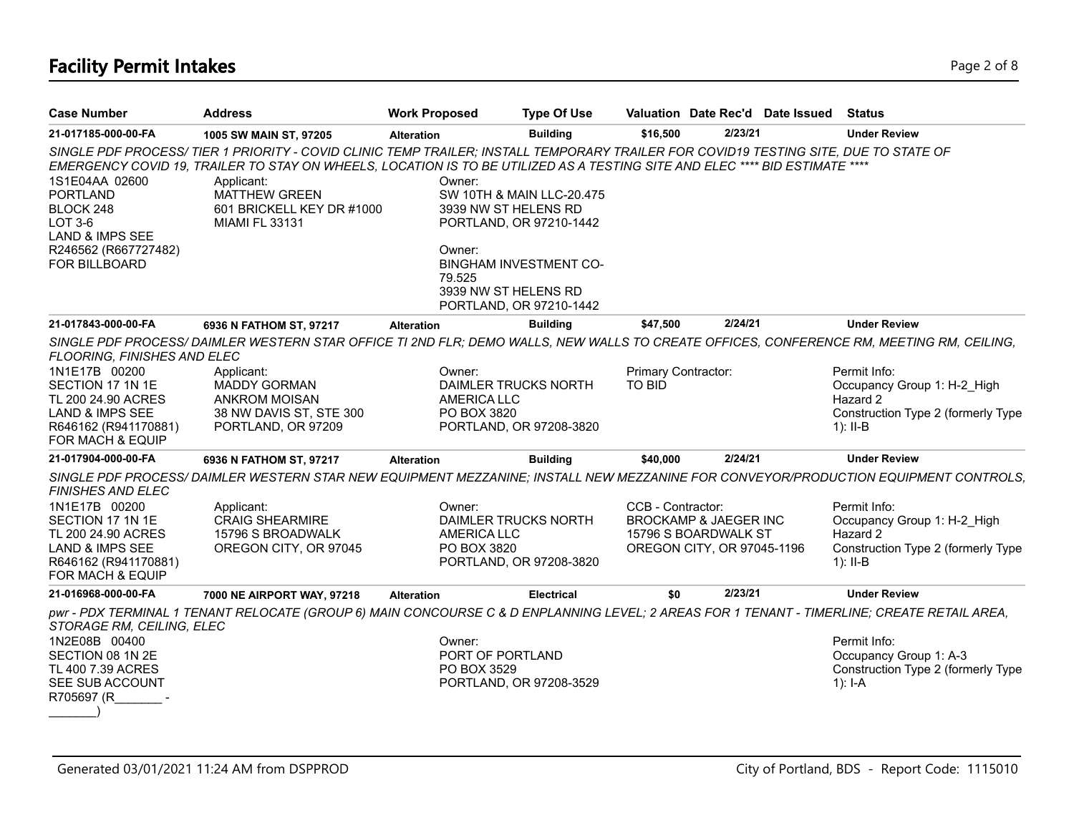# **Facility Permit Intakes** Page 2 of 8

| <b>Case Number</b>                                                                                                                       | <b>Address</b>                                                                                                                                                                                                                                                                                                                                          | <b>Work Proposed</b>                                                       | <b>Type Of Use</b>                                                                                               |                                      |                                                                                        | Valuation Date Rec'd Date Issued | <b>Status</b>                                                                                                                      |
|------------------------------------------------------------------------------------------------------------------------------------------|---------------------------------------------------------------------------------------------------------------------------------------------------------------------------------------------------------------------------------------------------------------------------------------------------------------------------------------------------------|----------------------------------------------------------------------------|------------------------------------------------------------------------------------------------------------------|--------------------------------------|----------------------------------------------------------------------------------------|----------------------------------|------------------------------------------------------------------------------------------------------------------------------------|
| 21-017185-000-00-FA                                                                                                                      | 1005 SW MAIN ST, 97205                                                                                                                                                                                                                                                                                                                                  | <b>Alteration</b>                                                          | <b>Building</b>                                                                                                  | \$16,500                             | 2/23/21                                                                                |                                  | <b>Under Review</b>                                                                                                                |
| 1S1E04AA 02600<br><b>PORTLAND</b><br>BLOCK 248<br>$LOT3-6$<br><b>LAND &amp; IMPS SEE</b><br>R246562 (R667727482)<br><b>FOR BILLBOARD</b> | SINGLE PDF PROCESS/TIER 1 PRIORITY - COVID CLINIC TEMP TRAILER; INSTALL TEMPORARY TRAILER FOR COVID19 TESTING SITE, DUE TO STATE OF<br>EMERGENCY COVID 19, TRAILER TO STAY ON WHEELS, LOCATION IS TO BE UTILIZED AS A TESTING SITE AND ELEC **** BID ESTIMATE ****<br>Applicant:<br>MATTHEW GREEN<br>601 BRICKELL KEY DR #1000<br><b>MIAMI FL 33131</b> | Owner:<br>3939 NW ST HELENS RD<br>Owner:<br>79.525<br>3939 NW ST HELENS RD | SW 10TH & MAIN LLC-20.475<br>PORTLAND, OR 97210-1442<br><b>BINGHAM INVESTMENT CO-</b><br>PORTLAND, OR 97210-1442 |                                      |                                                                                        |                                  |                                                                                                                                    |
| 21-017843-000-00-FA                                                                                                                      | 6936 N FATHOM ST, 97217                                                                                                                                                                                                                                                                                                                                 | <b>Alteration</b>                                                          | <b>Building</b>                                                                                                  | \$47,500                             | 2/24/21                                                                                |                                  | <b>Under Review</b>                                                                                                                |
| FLOORING, FINISHES AND ELEC                                                                                                              | SINGLE PDF PROCESS/ DAIMLER WESTERN STAR OFFICE TI 2ND FLR; DEMO WALLS, NEW WALLS TO CREATE OFFICES, CONFERENCE RM, MEETING RM, CEILING,                                                                                                                                                                                                                |                                                                            |                                                                                                                  |                                      |                                                                                        |                                  |                                                                                                                                    |
| 1N1E17B 00200<br>SECTION 17 1N 1E<br>TL 200 24.90 ACRES<br>LAND & IMPS SEE<br>R646162 (R941170881)<br>FOR MACH & EQUIP                   | Applicant:<br><b>MADDY GORMAN</b><br><b>ANKROM MOISAN</b><br>38 NW DAVIS ST, STE 300<br>PORTLAND, OR 97209                                                                                                                                                                                                                                              | Owner:<br>DAIMLER TRUCKS NORTH<br><b>AMERICA LLC</b><br>PO BOX 3820        | PORTLAND, OR 97208-3820                                                                                          | Primary Contractor:<br><b>TO BID</b> |                                                                                        |                                  | Permit Info:<br>Occupancy Group 1: H-2 High<br>Hazard 2<br>Construction Type 2 (formerly Type<br>$1$ : II-B                        |
| 21-017904-000-00-FA                                                                                                                      | 6936 N FATHOM ST, 97217                                                                                                                                                                                                                                                                                                                                 | <b>Alteration</b>                                                          | <b>Building</b>                                                                                                  | \$40,000                             | 2/24/21                                                                                |                                  | <b>Under Review</b>                                                                                                                |
| <b>FINISHES AND ELEC</b>                                                                                                                 |                                                                                                                                                                                                                                                                                                                                                         |                                                                            |                                                                                                                  |                                      |                                                                                        |                                  | SINGLE PDF PROCESS/DAIMLER WESTERN STAR NEW EQUIPMENT MEZZANINE; INSTALL NEW MEZZANINE FOR CONVEYOR/PRODUCTION EQUIPMENT CONTROLS, |
| 1N1E17B 00200<br>SECTION 17 1N 1E<br>TL 200 24.90 ACRES<br><b>LAND &amp; IMPS SEE</b><br>R646162 (R941170881)<br>FOR MACH & EQUIP        | Applicant:<br><b>CRAIG SHEARMIRE</b><br>15796 S BROADWALK<br>OREGON CITY, OR 97045                                                                                                                                                                                                                                                                      | Owner:<br><b>AMERICA LLC</b><br>PO BOX 3820                                | DAIMLER TRUCKS NORTH<br>PORTLAND, OR 97208-3820                                                                  | CCB - Contractor:                    | <b>BROCKAMP &amp; JAEGER INC</b><br>15796 S BOARDWALK ST<br>OREGON CITY, OR 97045-1196 |                                  | Permit Info:<br>Occupancy Group 1: H-2 High<br>Hazard 2<br>Construction Type 2 (formerly Type<br>$1$ : II-B                        |
| 21-016968-000-00-FA                                                                                                                      | 7000 NE AIRPORT WAY, 97218                                                                                                                                                                                                                                                                                                                              | <b>Alteration</b>                                                          | <b>Electrical</b>                                                                                                | \$0                                  | 2/23/21                                                                                |                                  | <b>Under Review</b>                                                                                                                |
| STORAGE RM, CEILING, ELEC<br>1N2E08B 00400<br>SECTION 08 1N 2E<br>TL 400 7.39 ACRES<br>SEE SUB ACCOUNT<br>R705697 (R                     | pwr - PDX TERMINAL 1 TENANT RELOCATE (GROUP 6) MAIN CONCOURSE C & D ENPLANNING LEVEL; 2 AREAS FOR 1 TENANT - TIMERLINE; CREATE RETAIL AREA,                                                                                                                                                                                                             | Owner:<br>PORT OF PORTLAND<br>PO BOX 3529                                  | PORTLAND, OR 97208-3529                                                                                          |                                      |                                                                                        |                                  | Permit Info:<br>Occupancy Group 1: A-3<br>Construction Type 2 (formerly Type<br>$1$ : I-A                                          |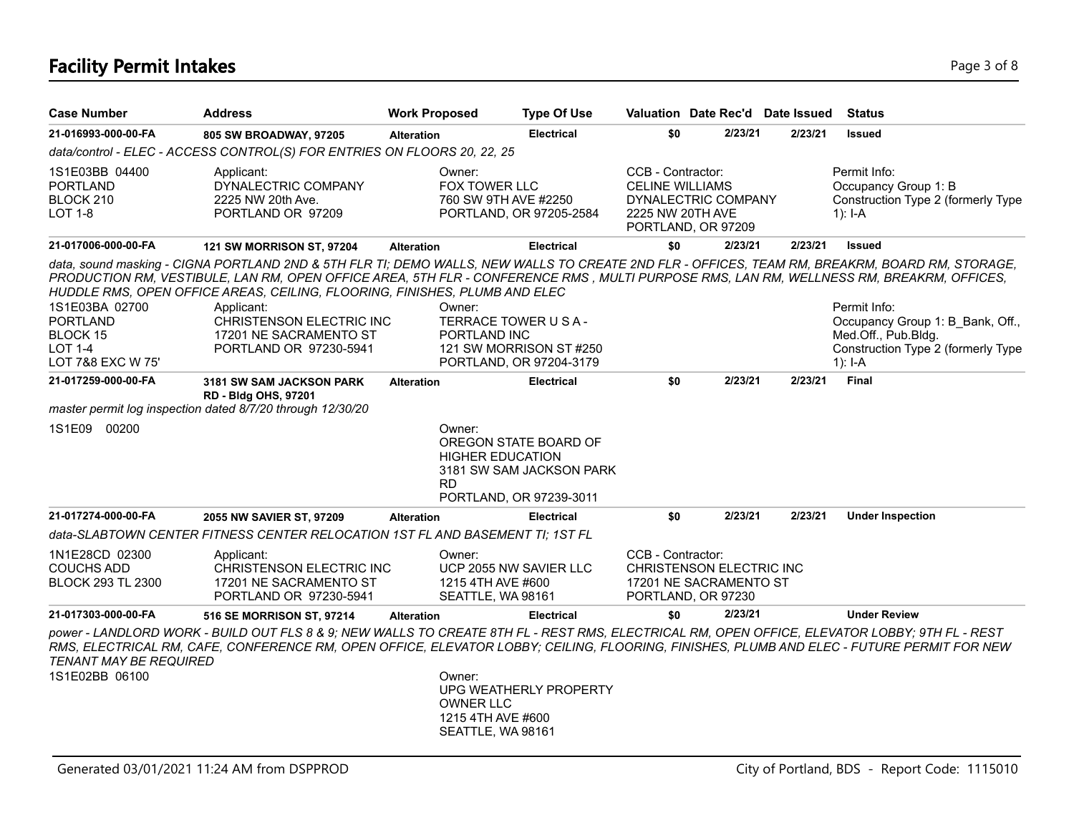# **Facility Permit Intakes** Page 1 of 8 and 2 and 2 and 2 and 2 and 2 and 2 and 2 and 2 and 2 and 2 and 2 and 2 and 2 and 2 and 2 and 2 and 2 and 2 and 2 and 2 and 2 and 2 and 2 and 2 and 2 and 2 and 2 and 2 and 2 and 2 and

| <b>Case Number</b>                                                                   | <b>Address</b>                                                                                                                                                                                                                                                                                                                                                                                                                                                         | <b>Work Proposed</b> |                                                                                                      | <b>Type Of Use</b>       | Valuation Date Rec'd Date Issued                                                                             |         |         | <b>Status</b>                                                                                                              |
|--------------------------------------------------------------------------------------|------------------------------------------------------------------------------------------------------------------------------------------------------------------------------------------------------------------------------------------------------------------------------------------------------------------------------------------------------------------------------------------------------------------------------------------------------------------------|----------------------|------------------------------------------------------------------------------------------------------|--------------------------|--------------------------------------------------------------------------------------------------------------|---------|---------|----------------------------------------------------------------------------------------------------------------------------|
| 21-016993-000-00-FA                                                                  | 805 SW BROADWAY, 97205                                                                                                                                                                                                                                                                                                                                                                                                                                                 | <b>Alteration</b>    |                                                                                                      | <b>Electrical</b>        | \$0                                                                                                          | 2/23/21 | 2/23/21 | <b>Issued</b>                                                                                                              |
|                                                                                      | data/control - ELEC - ACCESS CONTROL(S) FOR ENTRIES ON FLOORS 20, 22, 25                                                                                                                                                                                                                                                                                                                                                                                               |                      |                                                                                                      |                          |                                                                                                              |         |         |                                                                                                                            |
| 1S1E03BB 04400<br><b>PORTLAND</b><br>BLOCK 210<br>LOT 1-8                            | Applicant:<br>DYNALECTRIC COMPANY<br>2225 NW 20th Ave.<br>PORTLAND OR 97209                                                                                                                                                                                                                                                                                                                                                                                            |                      | Owner:<br>FOX TOWER LLC<br>760 SW 9TH AVE #2250<br>PORTLAND, OR 97205-2584                           |                          | CCB - Contractor:<br><b>CELINE WILLIAMS</b><br>DYNALECTRIC COMPANY<br>2225 NW 20TH AVE<br>PORTLAND, OR 97209 |         |         | Permit Info:<br>Occupancy Group 1: B<br>Construction Type 2 (formerly Type<br>1): I-A                                      |
| 21-017006-000-00-FA                                                                  | 121 SW MORRISON ST, 97204                                                                                                                                                                                                                                                                                                                                                                                                                                              | <b>Alteration</b>    |                                                                                                      | <b>Electrical</b>        | \$0                                                                                                          | 2/23/21 | 2/23/21 | <b>Issued</b>                                                                                                              |
| 1S1E03BA 02700<br><b>PORTLAND</b><br>BLOCK 15<br><b>LOT 1-4</b><br>LOT 7&8 EXC W 75' | data, sound masking - CIGNA PORTLAND 2ND & 5TH FLR TI; DEMO WALLS, NEW WALLS TO CREATE 2ND FLR - OFFICES, TEAM RM, BREAKRM, BOARD RM, STORAGE,<br>PRODUCTION RM, VESTIBULE, LAN RM, OPEN OFFICE AREA, 5TH FLR - CONFERENCE RMS , MULTI PURPOSE RMS, LAN RM, WELLNESS RM, BREAKRM, OFFICES,<br>HUDDLE RMS, OPEN OFFICE AREAS, CEILING, FLOORING, FINISHES, PLUMB AND ELEC<br>Applicant:<br>CHRISTENSON ELECTRIC INC<br>17201 NE SACRAMENTO ST<br>PORTLAND OR 97230-5941 |                      | Owner:<br>TERRACE TOWER U S A -<br>PORTLAND INC<br>121 SW MORRISON ST#250<br>PORTLAND, OR 97204-3179 |                          |                                                                                                              |         |         | Permit Info:<br>Occupancy Group 1: B Bank, Off.,<br>Med.Off., Pub.Bldg.<br>Construction Type 2 (formerly Type<br>$1$ : I-A |
| 21-017259-000-00-FA                                                                  | 3181 SW SAM JACKSON PARK<br>RD - Bldg OHS, 97201                                                                                                                                                                                                                                                                                                                                                                                                                       | <b>Alteration</b>    |                                                                                                      | <b>Electrical</b>        | \$0                                                                                                          | 2/23/21 | 2/23/21 | Final                                                                                                                      |
|                                                                                      | master permit log inspection dated 8/7/20 through 12/30/20                                                                                                                                                                                                                                                                                                                                                                                                             |                      |                                                                                                      |                          |                                                                                                              |         |         |                                                                                                                            |
| 1S1E09 00200                                                                         |                                                                                                                                                                                                                                                                                                                                                                                                                                                                        | <b>RD</b>            | Owner:<br>OREGON STATE BOARD OF<br><b>HIGHER EDUCATION</b><br>PORTLAND, OR 97239-3011                | 3181 SW SAM JACKSON PARK |                                                                                                              |         |         |                                                                                                                            |
| 21-017274-000-00-FA                                                                  | 2055 NW SAVIER ST, 97209                                                                                                                                                                                                                                                                                                                                                                                                                                               | <b>Alteration</b>    |                                                                                                      | <b>Electrical</b>        | \$0                                                                                                          | 2/23/21 | 2/23/21 | <b>Under Inspection</b>                                                                                                    |
|                                                                                      | data-SLABTOWN CENTER FITNESS CENTER RELOCATION 1ST FL AND BASEMENT TI: 1ST FL                                                                                                                                                                                                                                                                                                                                                                                          |                      |                                                                                                      |                          |                                                                                                              |         |         |                                                                                                                            |
| 1N1E28CD 02300<br><b>COUCHS ADD</b><br>BLOCK 293 TL 2300                             | Applicant:<br>CHRISTENSON ELECTRIC INC<br>17201 NE SACRAMENTO ST<br>PORTLAND OR 97230-5941                                                                                                                                                                                                                                                                                                                                                                             |                      | Owner:<br>UCP 2055 NW SAVIER LLC<br>1215 4TH AVE #600<br>SEATTLE, WA 98161                           |                          | CCB - Contractor:<br>CHRISTENSON ELECTRIC INC<br>17201 NE SACRAMENTO ST<br>PORTLAND, OR 97230                |         |         |                                                                                                                            |
| 21-017303-000-00-FA                                                                  | <b>516 SE MORRISON ST, 97214</b>                                                                                                                                                                                                                                                                                                                                                                                                                                       | <b>Alteration</b>    |                                                                                                      | <b>Electrical</b>        | \$0                                                                                                          | 2/23/21 |         | <b>Under Review</b>                                                                                                        |
| <b>TENANT MAY BE REQUIRED</b><br>1S1E02BB 06100                                      | power - LANDLORD WORK - BUILD OUT FLS 8 & 9; NEW WALLS TO CREATE 8TH FL - REST RMS, ELECTRICAL RM, OPEN OFFICE, ELEVATOR LOBBY; 9TH FL - REST<br>RMS, ELECTRICAL RM, CAFE, CONFERENCE RM, OPEN OFFICE, ELEVATOR LOBBY; CEILING, FLOORING, FINISHES, PLUMB AND ELEC - FUTURE PERMIT FOR NEW                                                                                                                                                                             |                      | Owner:<br><b>OWNER LLC</b><br>1215 4TH AVE #600<br>SEATTLE, WA 98161                                 | UPG WEATHERLY PROPERTY   |                                                                                                              |         |         |                                                                                                                            |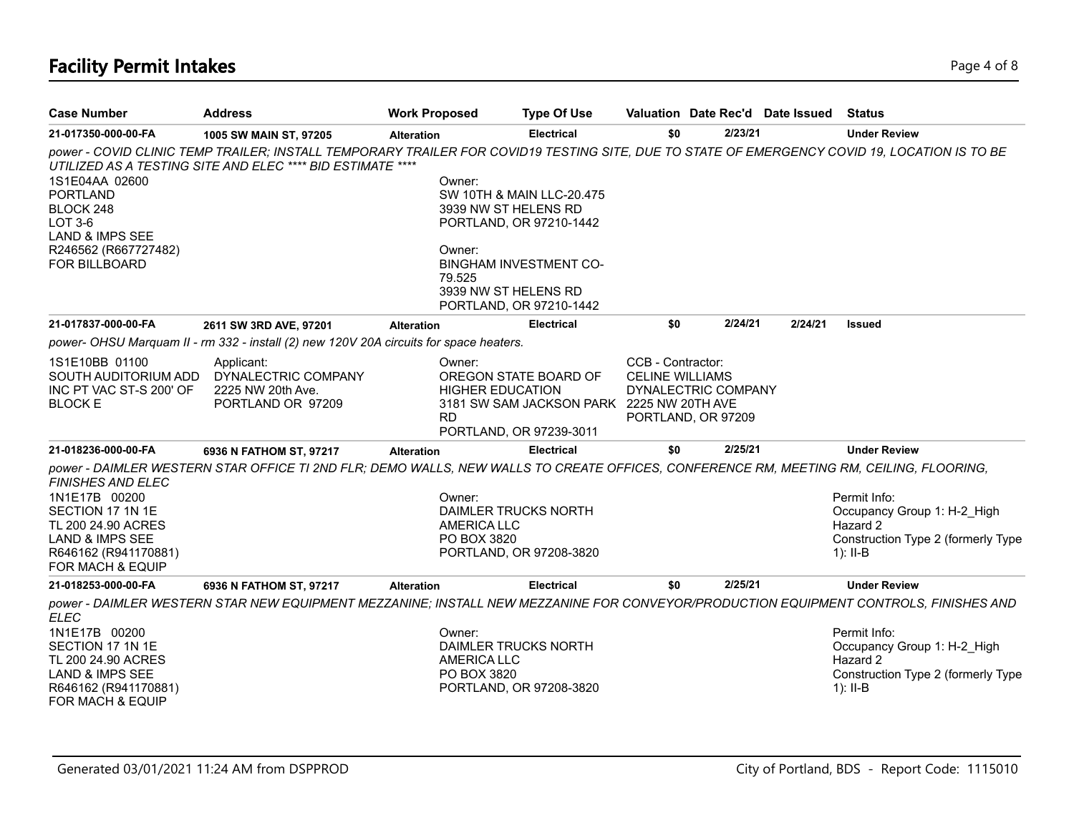# **Facility Permit Intakes** Page 4 of 8

| <b>Case Number</b>                                                                                                                                            | <b>Address</b>                                                                                                                         | <b>Work Proposed</b> |                                                                            | <b>Type Of Use</b>                                                                                               | Valuation Date Rec'd Date Issued                                                         |         |         | <b>Status</b>                                                                                                                                                                                                                                       |
|---------------------------------------------------------------------------------------------------------------------------------------------------------------|----------------------------------------------------------------------------------------------------------------------------------------|----------------------|----------------------------------------------------------------------------|------------------------------------------------------------------------------------------------------------------|------------------------------------------------------------------------------------------|---------|---------|-----------------------------------------------------------------------------------------------------------------------------------------------------------------------------------------------------------------------------------------------------|
| 21-017350-000-00-FA                                                                                                                                           | 1005 SW MAIN ST, 97205                                                                                                                 | <b>Alteration</b>    |                                                                            | <b>Electrical</b>                                                                                                | \$0                                                                                      | 2/23/21 |         | <b>Under Review</b>                                                                                                                                                                                                                                 |
| 1S1E04AA 02600<br><b>PORTLAND</b><br>BLOCK 248<br>LOT 3-6<br><b>LAND &amp; IMPS SEE</b><br>R246562 (R667727482)<br><b>FOR BILLBOARD</b>                       | UTILIZED AS A TESTING SITE AND ELEC **** BID ESTIMATE ****                                                                             |                      | Owner:<br>3939 NW ST HELENS RD<br>Owner:<br>79.525<br>3939 NW ST HELENS RD | SW 10TH & MAIN LLC-20.475<br>PORTLAND, OR 97210-1442<br><b>BINGHAM INVESTMENT CO-</b><br>PORTLAND, OR 97210-1442 |                                                                                          |         |         | power - COVID CLINIC TEMP TRAILER; INSTALL TEMPORARY TRAILER FOR COVID19 TESTING SITE, DUE TO STATE OF EMERGENCY COVID 19, LOCATION IS TO BE                                                                                                        |
| 21-017837-000-00-FA                                                                                                                                           | 2611 SW 3RD AVE, 97201                                                                                                                 | <b>Alteration</b>    |                                                                            | <b>Electrical</b>                                                                                                | \$0                                                                                      | 2/24/21 | 2/24/21 | <b>Issued</b>                                                                                                                                                                                                                                       |
|                                                                                                                                                               | power- OHSU Marquam II - rm 332 - install (2) new 120V 20A circuits for space heaters.                                                 |                      |                                                                            |                                                                                                                  |                                                                                          |         |         |                                                                                                                                                                                                                                                     |
| 1S1E10BB 01100<br>SOUTH AUDITORIUM ADD<br>INC PT VAC ST-S 200' OF<br><b>BLOCK E</b>                                                                           | Applicant:<br>DYNALECTRIC COMPANY<br>2225 NW 20th Ave.<br>PORTLAND OR 97209                                                            |                      | Owner:<br><b>HIGHER EDUCATION</b><br><b>RD</b>                             | OREGON STATE BOARD OF<br>3181 SW SAM JACKSON PARK 2225 NW 20TH AVE<br>PORTLAND, OR 97239-3011                    | CCB - Contractor:<br><b>CELINE WILLIAMS</b><br>DYNALECTRIC COMPANY<br>PORTLAND, OR 97209 |         |         |                                                                                                                                                                                                                                                     |
| 21-018236-000-00-FA                                                                                                                                           | 6936 N FATHOM ST, 97217                                                                                                                | <b>Alteration</b>    |                                                                            | <b>Electrical</b>                                                                                                | \$0                                                                                      | 2/25/21 |         | <b>Under Review</b>                                                                                                                                                                                                                                 |
| <b>FINISHES AND ELEC</b><br>1N1E17B 00200<br>SECTION 17 1N 1E<br>TL 200 24.90 ACRES<br><b>LAND &amp; IMPS SEE</b><br>R646162 (R941170881)<br>FOR MACH & EQUIP | power - DAIMLER WESTERN STAR OFFICE TI 2ND FLR; DEMO WALLS, NEW WALLS TO CREATE OFFICES, CONFERENCE RM, MEETING RM, CEILING, FLOORING, |                      | Owner:<br><b>AMERICA LLC</b><br>PO BOX 3820                                | DAIMLER TRUCKS NORTH<br>PORTLAND, OR 97208-3820                                                                  |                                                                                          |         |         | Permit Info:<br>Occupancy Group 1: H-2 High<br>Hazard 2<br>Construction Type 2 (formerly Type<br>$1$ : II-B                                                                                                                                         |
| 21-018253-000-00-FA                                                                                                                                           | 6936 N FATHOM ST, 97217                                                                                                                | <b>Alteration</b>    |                                                                            | <b>Electrical</b>                                                                                                | \$0                                                                                      | 2/25/21 |         | <b>Under Review</b>                                                                                                                                                                                                                                 |
| <b>ELEC</b><br>1N1E17B 00200<br>SECTION 17 1N 1E<br>TL 200 24.90 ACRES<br><b>LAND &amp; IMPS SEE</b><br>R646162 (R941170881)<br><b>FOR MACH &amp; EQUIP</b>   |                                                                                                                                        |                      | Owner:<br><b>AMERICA LLC</b><br>PO BOX 3820                                | DAIMLER TRUCKS NORTH<br>PORTLAND, OR 97208-3820                                                                  |                                                                                          |         |         | power - DAIMLER WESTERN STAR NEW EQUIPMENT MEZZANINE; INSTALL NEW MEZZANINE FOR CONVEYOR/PRODUCTION EQUIPMENT CONTROLS, FINISHES AND<br>Permit Info:<br>Occupancy Group 1: H-2 High<br>Hazard 2<br>Construction Type 2 (formerly Type<br>$1$ : II-B |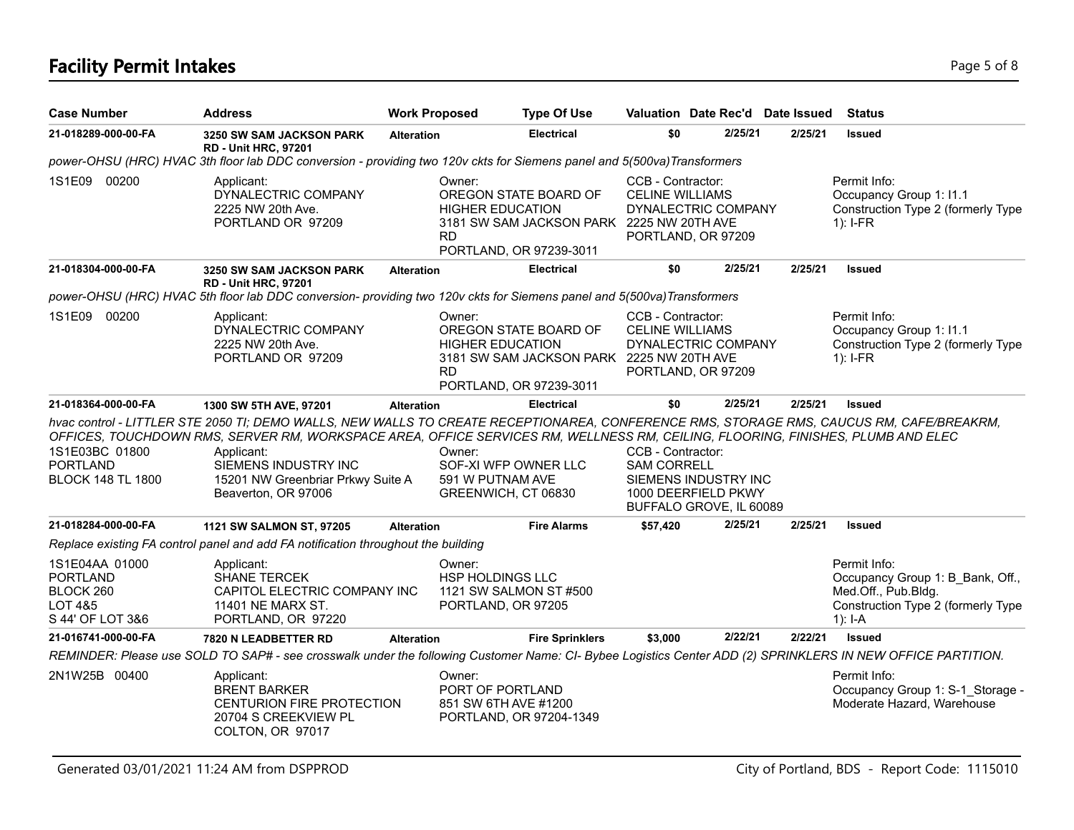# **Facility Permit Intakes** Page 5 of 8

| <b>Case Number</b>                                                            | <b>Address</b>                                                                                                                                                                                                                                                                                                                                                                | <b>Work Proposed</b> |                                                                                   | <b>Type Of Use</b>                                                 | Valuation Date Rec'd Date Issued                                                                                  |         |         | <b>Status</b>                                                                                                              |
|-------------------------------------------------------------------------------|-------------------------------------------------------------------------------------------------------------------------------------------------------------------------------------------------------------------------------------------------------------------------------------------------------------------------------------------------------------------------------|----------------------|-----------------------------------------------------------------------------------|--------------------------------------------------------------------|-------------------------------------------------------------------------------------------------------------------|---------|---------|----------------------------------------------------------------------------------------------------------------------------|
| 21-018289-000-00-FA                                                           | 3250 SW SAM JACKSON PARK                                                                                                                                                                                                                                                                                                                                                      | <b>Alteration</b>    |                                                                                   | <b>Electrical</b>                                                  | \$0                                                                                                               | 2/25/21 | 2/25/21 | <b>Issued</b>                                                                                                              |
|                                                                               | <b>RD - Unit HRC, 97201</b><br>power-OHSU (HRC) HVAC 3th floor lab DDC conversion - providing two 120v ckts for Siemens panel and 5(500va) Transformers                                                                                                                                                                                                                       |                      |                                                                                   |                                                                    |                                                                                                                   |         |         |                                                                                                                            |
| 1S1E09 00200                                                                  | Applicant:<br>DYNALECTRIC COMPANY<br>2225 NW 20th Ave.<br>PORTLAND OR 97209                                                                                                                                                                                                                                                                                                   |                      | Owner:<br><b>HIGHER EDUCATION</b><br>RD.<br>PORTLAND, OR 97239-3011               | OREGON STATE BOARD OF<br>3181 SW SAM JACKSON PARK 2225 NW 20TH AVE | CCB - Contractor:<br><b>CELINE WILLIAMS</b><br>DYNALECTRIC COMPANY<br>PORTLAND, OR 97209                          |         |         | Permit Info:<br>Occupancy Group 1: I1.1<br>Construction Type 2 (formerly Type<br>$1$ : I-FR                                |
| 21-018304-000-00-FA                                                           | 3250 SW SAM JACKSON PARK                                                                                                                                                                                                                                                                                                                                                      | <b>Alteration</b>    |                                                                                   | <b>Electrical</b>                                                  | \$0                                                                                                               | 2/25/21 | 2/25/21 | <b>Issued</b>                                                                                                              |
|                                                                               | <b>RD - Unit HRC, 97201</b><br>power-OHSU (HRC) HVAC 5th floor lab DDC conversion- providing two 120v ckts for Siemens panel and 5(500va) Transformers                                                                                                                                                                                                                        |                      |                                                                                   |                                                                    |                                                                                                                   |         |         |                                                                                                                            |
| 1S1E09 00200                                                                  | Applicant:<br>DYNALECTRIC COMPANY<br>2225 NW 20th Ave.<br>PORTLAND OR 97209                                                                                                                                                                                                                                                                                                   |                      | Owner:<br><b>HIGHER EDUCATION</b><br><b>RD</b><br>PORTLAND, OR 97239-3011         | OREGON STATE BOARD OF<br>3181 SW SAM JACKSON PARK 2225 NW 20TH AVE | CCB - Contractor:<br><b>CELINE WILLIAMS</b><br>DYNALECTRIC COMPANY<br>PORTLAND, OR 97209                          |         |         | Permit Info:<br>Occupancy Group 1: I1.1<br>Construction Type 2 (formerly Type<br>$1$ : I-FR                                |
| 21-018364-000-00-FA                                                           | 1300 SW 5TH AVE, 97201                                                                                                                                                                                                                                                                                                                                                        | <b>Alteration</b>    |                                                                                   | <b>Electrical</b>                                                  | \$0                                                                                                               | 2/25/21 | 2/25/21 | <b>Issued</b>                                                                                                              |
| 1S1E03BC 01800<br><b>PORTLAND</b><br><b>BLOCK 148 TL 1800</b>                 | hvac control - LITTLER STE 2050 TI; DEMO WALLS, NEW WALLS TO CREATE RECEPTIONAREA, CONFERENCE RMS, STORAGE RMS, CAUCUS RM, CAFE/BREAKRM,<br>OFFICES, TOUCHDOWN RMS, SERVER RM, WORKSPACE AREA, OFFICE SERVICES RM, WELLNESS RM, CEILING, FLOORING, FINISHES, PLUMB AND ELEC<br>Applicant:<br>SIEMENS INDUSTRY INC<br>15201 NW Greenbriar Prkwy Suite A<br>Beaverton, OR 97006 |                      | Owner:<br>SOF-XI WFP OWNER LLC<br>591 W PUTNAM AVE<br>GREENWICH, CT 06830         |                                                                    | CCB - Contractor:<br><b>SAM CORRELL</b><br>SIEMENS INDUSTRY INC<br>1000 DEERFIELD PKWY<br>BUFFALO GROVE, IL 60089 |         |         |                                                                                                                            |
| 21-018284-000-00-FA                                                           | 1121 SW SALMON ST, 97205                                                                                                                                                                                                                                                                                                                                                      | <b>Alteration</b>    |                                                                                   | <b>Fire Alarms</b>                                                 | \$57,420                                                                                                          | 2/25/21 | 2/25/21 | <b>Issued</b>                                                                                                              |
|                                                                               | Replace existing FA control panel and add FA notification throughout the building                                                                                                                                                                                                                                                                                             |                      |                                                                                   |                                                                    |                                                                                                                   |         |         |                                                                                                                            |
| 1S1E04AA 01000<br><b>PORTLAND</b><br>BLOCK 260<br>LOT 4&5<br>S 44' OF LOT 3&6 | Applicant:<br><b>SHANE TERCEK</b><br>CAPITOL ELECTRIC COMPANY INC<br>11401 NE MARX ST.<br>PORTLAND, OR 97220                                                                                                                                                                                                                                                                  |                      | Owner:<br><b>HSP HOLDINGS LLC</b><br>1121 SW SALMON ST #500<br>PORTLAND, OR 97205 |                                                                    |                                                                                                                   |         |         | Permit Info:<br>Occupancy Group 1: B Bank, Off.,<br>Med.Off., Pub.Bldg.<br>Construction Type 2 (formerly Type<br>$1$ : I-A |
| 21-016741-000-00-FA                                                           | 7820 N LEADBETTER RD                                                                                                                                                                                                                                                                                                                                                          | <b>Alteration</b>    |                                                                                   | <b>Fire Sprinklers</b>                                             | \$3,000                                                                                                           | 2/22/21 | 2/22/21 | <b>Issued</b>                                                                                                              |
|                                                                               | REMINDER: Please use SOLD TO SAP# - see crosswalk under the following Customer Name: CI- Bybee Logistics Center ADD (2) SPRINKLERS IN NEW OFFICE PARTITION.                                                                                                                                                                                                                   |                      |                                                                                   |                                                                    |                                                                                                                   |         |         |                                                                                                                            |
| 2N1W25B 00400                                                                 | Applicant:<br><b>BRENT BARKER</b><br><b>CENTURION FIRE PROTECTION</b><br>20704 S CREEKVIEW PL<br>COLTON, OR 97017                                                                                                                                                                                                                                                             |                      | Owner:<br>PORT OF PORTLAND<br>851 SW 6TH AVE #1200<br>PORTLAND, OR 97204-1349     |                                                                    |                                                                                                                   |         |         | Permit Info:<br>Occupancy Group 1: S-1 Storage -<br>Moderate Hazard, Warehouse                                             |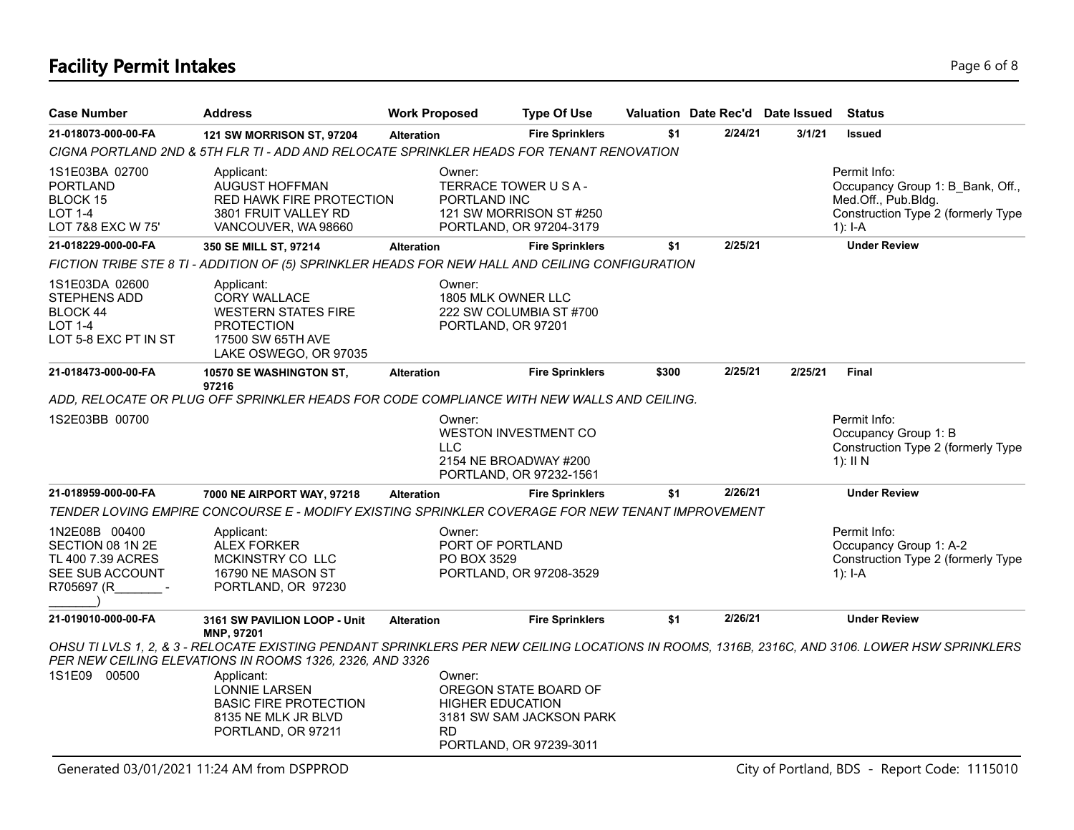### **Facility Permit Intakes** Page 6 of 8

| <b>Case Number</b>                                                                          | <b>Address</b>                                                                                                                     | <b>Work Proposed</b>   | <b>Type Of Use</b>                                                                                      |       |         | Valuation Date Rec'd Date Issued | <b>Status</b>                                                                                                                                  |
|---------------------------------------------------------------------------------------------|------------------------------------------------------------------------------------------------------------------------------------|------------------------|---------------------------------------------------------------------------------------------------------|-------|---------|----------------------------------|------------------------------------------------------------------------------------------------------------------------------------------------|
| 21-018073-000-00-FA                                                                         | 121 SW MORRISON ST, 97204                                                                                                          | <b>Alteration</b>      | <b>Fire Sprinklers</b>                                                                                  | \$1   | 2/24/21 | 3/1/21                           | <b>Issued</b>                                                                                                                                  |
|                                                                                             | CIGNA PORTLAND 2ND & 5TH FLR TI - ADD AND RELOCATE SPRINKLER HEADS FOR TENANT RENOVATION                                           |                        |                                                                                                         |       |         |                                  |                                                                                                                                                |
| 1S1E03BA 02700<br><b>PORTLAND</b><br><b>BLOCK 15</b><br><b>LOT 1-4</b><br>LOT 7&8 EXC W 75' | Applicant:<br><b>AUGUST HOFFMAN</b><br>RED HAWK FIRE PROTECTION<br>3801 FRUIT VALLEY RD<br>VANCOUVER, WA 98660                     | Owner:<br>PORTLAND INC | TERRACE TOWER U S A -<br>121 SW MORRISON ST #250<br>PORTLAND, OR 97204-3179                             |       |         |                                  | Permit Info:<br>Occupancy Group 1: B Bank, Off.,<br>Med.Off., Pub.Bldg.<br>Construction Type 2 (formerly Type<br>$1$ : I-A                     |
| 21-018229-000-00-FA                                                                         | 350 SE MILL ST, 97214                                                                                                              | <b>Alteration</b>      | <b>Fire Sprinklers</b>                                                                                  | \$1   | 2/25/21 |                                  | <b>Under Review</b>                                                                                                                            |
|                                                                                             | FICTION TRIBE STE 8 TI - ADDITION OF (5) SPRINKLER HEADS FOR NEW HALL AND CEILING CONFIGURATION                                    |                        |                                                                                                         |       |         |                                  |                                                                                                                                                |
| 1S1E03DA 02600<br>STEPHENS ADD<br>BLOCK 44<br><b>LOT 1-4</b><br>LOT 5-8 EXC PT IN ST        | Applicant:<br><b>CORY WALLACE</b><br><b>WESTERN STATES FIRE</b><br><b>PROTECTION</b><br>17500 SW 65TH AVE<br>LAKE OSWEGO, OR 97035 | Owner:                 | 1805 MLK OWNER LLC<br>222 SW COLUMBIA ST #700<br>PORTLAND, OR 97201                                     |       |         |                                  |                                                                                                                                                |
| 21-018473-000-00-FA                                                                         | 10570 SE WASHINGTON ST,                                                                                                            | <b>Alteration</b>      | <b>Fire Sprinklers</b>                                                                                  | \$300 | 2/25/21 | 2/25/21                          | Final                                                                                                                                          |
|                                                                                             | 97216<br>ADD, RELOCATE OR PLUG OFF SPRINKLER HEADS FOR CODE COMPLIANCE WITH NEW WALLS AND CEILING.                                 |                        |                                                                                                         |       |         |                                  |                                                                                                                                                |
| 1S2E03BB 00700                                                                              |                                                                                                                                    | Owner:<br><b>LLC</b>   | <b>WESTON INVESTMENT CO</b><br>2154 NE BROADWAY #200<br>PORTLAND, OR 97232-1561                         |       |         |                                  | Permit Info:<br>Occupancy Group 1: B<br>Construction Type 2 (formerly Type<br>1): $\parallel$ N                                                |
| 21-018959-000-00-FA                                                                         | 7000 NE AIRPORT WAY, 97218                                                                                                         | <b>Alteration</b>      | <b>Fire Sprinklers</b>                                                                                  | \$1   | 2/26/21 |                                  | <b>Under Review</b>                                                                                                                            |
|                                                                                             | TENDER LOVING EMPIRE CONCOURSE E - MODIFY EXISTING SPRINKLER COVERAGE FOR NEW TENANT IMPROVEMENT                                   |                        |                                                                                                         |       |         |                                  |                                                                                                                                                |
| 1N2E08B 00400<br>SECTION 08 1N 2E<br>TL 400 7.39 ACRES<br>SEE SUB ACCOUNT<br>R705697 (R     | Applicant:<br>ALEX FORKER<br>MCKINSTRY CO LLC<br>16790 NE MASON ST<br>PORTLAND, OR 97230                                           | Owner:<br>PO BOX 3529  | PORT OF PORTLAND<br>PORTLAND, OR 97208-3529                                                             |       |         |                                  | Permit Info:<br>Occupancy Group 1: A-2<br>Construction Type 2 (formerly Type<br>$1$ : I-A                                                      |
| 21-019010-000-00-FA                                                                         | 3161 SW PAVILION LOOP - Unit<br>MNP, 97201                                                                                         | <b>Alteration</b>      | <b>Fire Sprinklers</b>                                                                                  | \$1   | 2/26/21 |                                  | <b>Under Review</b>                                                                                                                            |
|                                                                                             | PER NEW CEILING ELEVATIONS IN ROOMS 1326, 2326, AND 3326                                                                           |                        |                                                                                                         |       |         |                                  | OHSU TI LVLS 1, 2, & 3 - RELOCATE EXISTING PENDANT SPRINKLERS PER NEW CEILING LOCATIONS IN ROOMS, 1316B, 2316C, AND 3106. LOWER HSW SPRINKLERS |
| 1S1E09 00500                                                                                | Applicant:<br><b>LONNIE LARSEN</b><br><b>BASIC FIRE PROTECTION</b><br>8135 NE MLK JR BLVD<br>PORTLAND, OR 97211                    | Owner:<br><b>RD</b>    | OREGON STATE BOARD OF<br><b>HIGHER EDUCATION</b><br>3181 SW SAM JACKSON PARK<br>PORTLAND, OR 97239-3011 |       |         |                                  |                                                                                                                                                |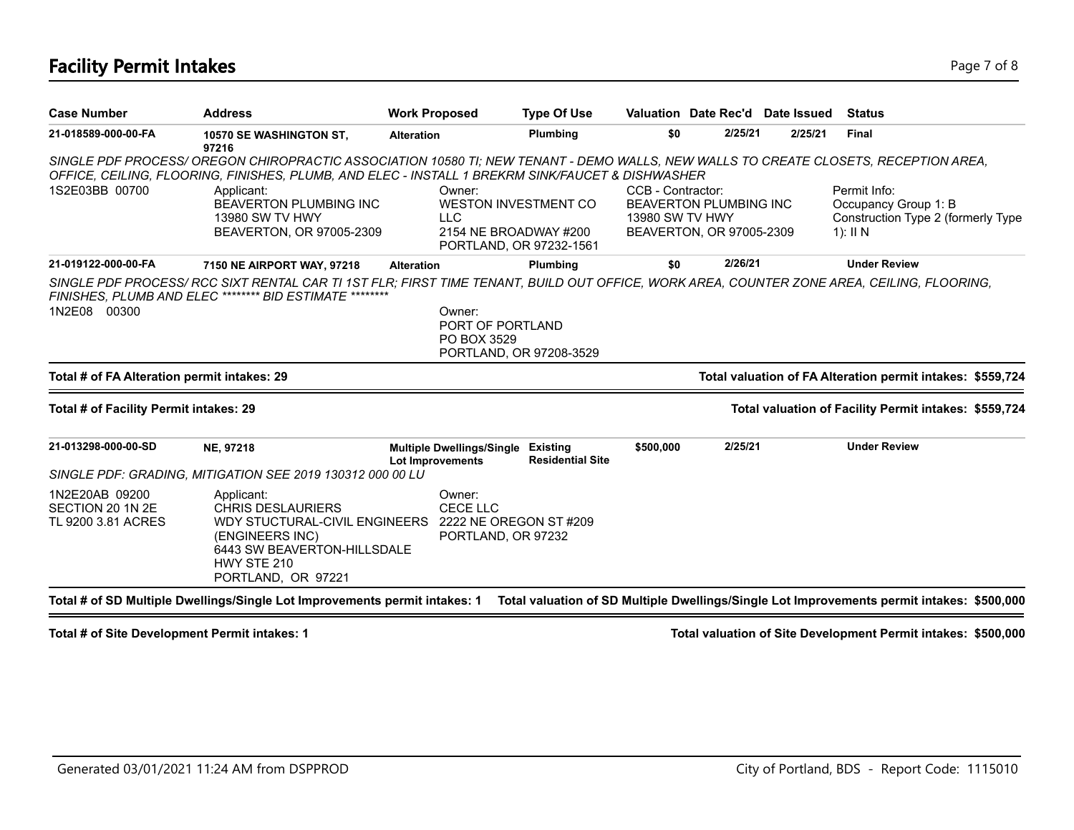### **Facility Permit Intakes** Page 7 of 8

| <b>Case Number</b>                                       | <b>Address</b>                                                                                                                                                                                                                                                                                                                       | <b>Work Proposed</b>                                                                             | <b>Type Of Use</b>      | Valuation Date Rec'd Date Issued                                                                  |         |         | <b>Status</b>                                                                            |
|----------------------------------------------------------|--------------------------------------------------------------------------------------------------------------------------------------------------------------------------------------------------------------------------------------------------------------------------------------------------------------------------------------|--------------------------------------------------------------------------------------------------|-------------------------|---------------------------------------------------------------------------------------------------|---------|---------|------------------------------------------------------------------------------------------|
| 21-018589-000-00-FA                                      | 10570 SE WASHINGTON ST,<br>97216                                                                                                                                                                                                                                                                                                     | <b>Alteration</b>                                                                                | Plumbing                | \$0                                                                                               | 2/25/21 | 2/25/21 | <b>Final</b>                                                                             |
| 1S2E03BB 00700                                           | SINGLE PDF PROCESS/OREGON CHIROPRACTIC ASSOCIATION 10580 TI; NEW TENANT - DEMO WALLS, NEW WALLS TO CREATE CLOSETS, RECEPTION AREA,<br>OFFICE, CEILING, FLOORING, FINISHES, PLUMB, AND ELEC - INSTALL 1 BREKRM SINK/FAUCET & DISHWASHER<br>Applicant:<br><b>BEAVERTON PLUMBING INC</b><br>13980 SW TV HWY<br>BEAVERTON, OR 97005-2309 | Owner:<br>WESTON INVESTMENT CO<br><b>LLC</b><br>2154 NE BROADWAY #200<br>PORTLAND, OR 97232-1561 |                         | CCB - Contractor:<br><b>BEAVERTON PLUMBING INC</b><br>13980 SW TV HWY<br>BEAVERTON, OR 97005-2309 |         |         | Permit Info:<br>Occupancy Group 1: B<br>Construction Type 2 (formerly Type<br>1): $II N$ |
| 21-019122-000-00-FA                                      | 7150 NE AIRPORT WAY, 97218                                                                                                                                                                                                                                                                                                           | <b>Alteration</b>                                                                                | Plumbing                | \$0                                                                                               | 2/26/21 |         | <b>Under Review</b>                                                                      |
| 1N2E08 00300                                             | SINGLE PDF PROCESS/ RCC SIXT RENTAL CAR TI 1ST FLR; FIRST TIME TENANT, BUILD OUT OFFICE, WORK AREA, COUNTER ZONE AREA, CEILING, FLOORING,<br>FINISHES, PLUMB AND ELEC ******** BID ESTIMATE                                                                                                                                          | Owner:<br>PORT OF PORTLAND<br>PO BOX 3529<br>PORTLAND, OR 97208-3529                             |                         |                                                                                                   |         |         |                                                                                          |
| Total # of FA Alteration permit intakes: 29              |                                                                                                                                                                                                                                                                                                                                      |                                                                                                  |                         |                                                                                                   |         |         | Total valuation of FA Alteration permit intakes: \$559,724                               |
| Total # of Facility Permit intakes: 29                   |                                                                                                                                                                                                                                                                                                                                      |                                                                                                  |                         |                                                                                                   |         |         | Total valuation of Facility Permit intakes: \$559,724                                    |
| 21-013298-000-00-SD                                      | NE, 97218                                                                                                                                                                                                                                                                                                                            | Multiple Dwellings/Single Existing<br><b>Lot Improvements</b>                                    | <b>Residential Site</b> | \$500,000                                                                                         | 2/25/21 |         | <b>Under Review</b>                                                                      |
|                                                          | SINGLE PDF: GRADING, MITIGATION SEE 2019 130312 000 00 LU                                                                                                                                                                                                                                                                            |                                                                                                  |                         |                                                                                                   |         |         |                                                                                          |
| 1N2E20AB 09200<br>SECTION 20 1N 2E<br>TL 9200 3.81 ACRES | Applicant:<br><b>CHRIS DESLAURIERS</b><br>WDY STUCTURAL-CIVIL ENGINEERS<br>(ENGINEERS INC)<br>6443 SW BEAVERTON-HILLSDALE<br>HWY STE 210<br>PORTLAND, OR 97221                                                                                                                                                                       | Owner:<br><b>CECE LLC</b><br>2222 NE OREGON ST #209<br>PORTLAND, OR 97232                        |                         |                                                                                                   |         |         |                                                                                          |

**Total # of Site Development Permit intakes: 1 Total valuation of Site Development Permit intakes: \$500,000**